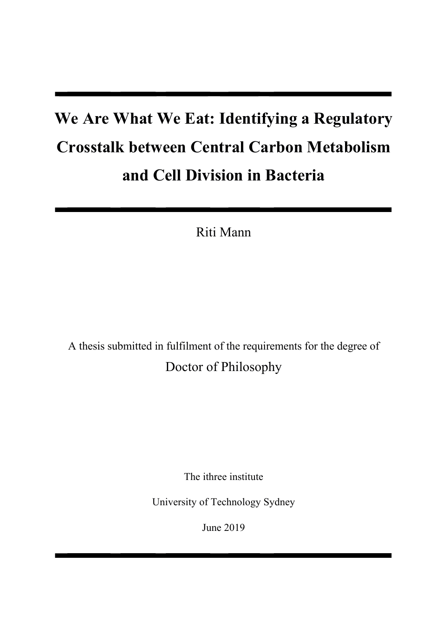# We Are What We Eat: Identifying a Regulatory **Crosstalk between Central Carbon Metabolism** and Cell Division in Bacteria

Riti Mann

A thesis submitted in fulfilment of the requirements for the degree of Doctor of Philosophy

The ithree institute

University of Technology Sydney

June 2019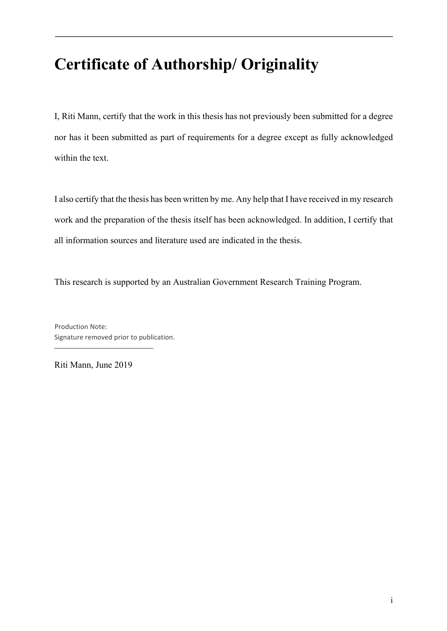## **Certificate of Authorship/ Originality**

I, Riti Mann, certify that the work in this thesis has not previously been submitted for a degree nor has it been submitted as part of requirements for a degree except as fully acknowledged within the text.

**...........................................................................**

I also certify that the thesis has been written by me. Any help that I have received in my research work and the preparation of the thesis itself has been acknowledged. In addition, I certify that all information sources and literature used are indicated in the thesis.

This research is supported by an Australian Government Research Training Program.

:::::::::::::::::::::: Production Note: Signature removed prior to publication.

Riti Mann, June 2019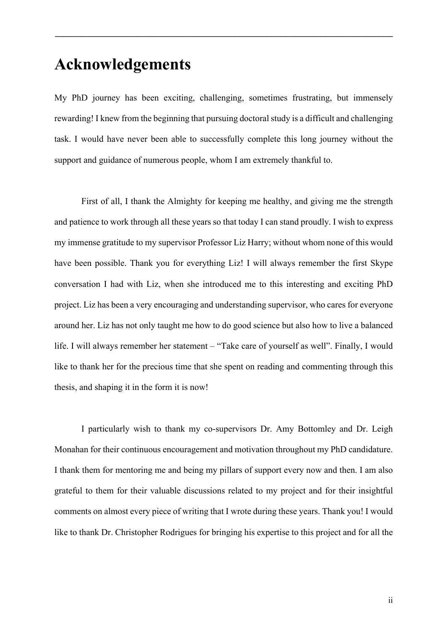### $A$ cknowledgements

My PhD journey has been exciting, challenging, sometimes frustrating, but immensely rewarding! I knew from the beginning that pursuing doctoral study is a difficult and challenging task. I would have never been able to successfully complete this long journey without the support and guidance of numerous people, whom I am extremely thankful to.

**...........................................................................**

First of all, I thank the Almighty for keeping me healthy, and giving me the strength and patience to work through all these years so that today I can stand proudly. I wish to express my immense gratitude to my supervisor Professor Liz Harry; without whom none of this would have been possible. Thank you for everything Liz! I will always remember the first Skype conversation I had with Liz, when she introduced me to this interesting and exciting PhD project. Liz has been a very encouraging and understanding supervisor, who cares for everyone around her. Liz has not only taught me how to do good science but also how to live a balanced life. I will always remember her statement – "Take care of yourself as well". Finally, I would like to thank her for the precious time that she spent on reading and commenting through this thesis, and shaping it in the form it is now!

I particularly wish to thank my co-supervisors Dr. Amy Bottomley and Dr. Leigh Monahan for their continuous encouragement and motivation throughout my PhD candidature. I thank them for mentoring me and being my pillars of support every now and then. I am also grateful to them for their valuable discussions related to my project and for their insightful comments on almost every piece of writing that I wrote during these years. Thank you! I would like to thank Dr. Christopher Rodrigues for bringing his expertise to this project and for all the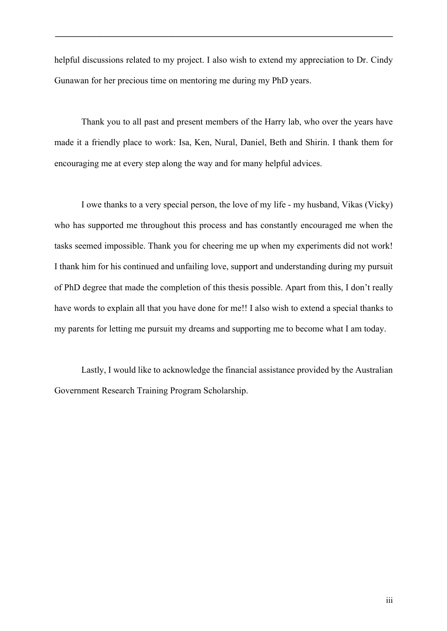helpful discussions related to my project. I also wish to extend my appreciation to Dr. Cindy Gunawan for her precious time on mentoring me during my PhD years.

**...........................................................................**

Thank you to all past and present members of the Harry lab, who over the years have made it a friendly place to work: Isa, Ken, Nural, Daniel, Beth and Shirin. I thank them for encouraging me at every step along the way and for many helpful advices.

I owe thanks to a very special person, the love of my life - my husband, Vikas (Vicky) who has supported me throughout this process and has constantly encouraged me when the tasks seemed impossible. Thank you for cheering me up when my experiments did not work! I thank him for his continued and unfailing love, support and understanding during my pursuit of PhD degree that made the completion of this thesis possible. Apart from this, I don't really have words to explain all that you have done for me!! I also wish to extend a special thanks to my parents for letting me pursuit my dreams and supporting me to become what I am today.

Lastly, I would like to acknowledge the financial assistance provided by the Australian Government Research Training Program Scholarship.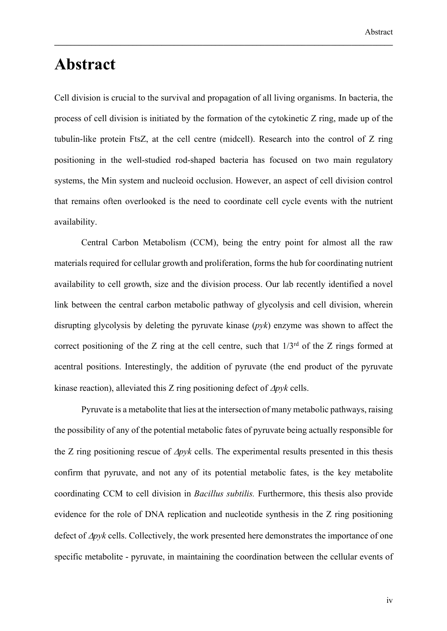### Abstract

Cell division is crucial to the survival and propagation of all living organisms. In bacteria, the process of cell division is initiated by the formation of the cytokinetic  $Z$  ring, made up of the tubulin-like protein FtsZ, at the cell centre (midcell). Research into the control of Z ring positioning in the well-studied rod-shaped bacteria has focused on two main regulatory systems, the Min system and nucleoid occlusion. However, an aspect of cell division control that remains often overlooked is the need to coordinate cell cycle events with the nutrient availability.

**..................................................................................**

Central Carbon Metabolism (CCM), being the entry point for almost all the raw materials required for cellular growth and proliferation, forms the hub for coordinating nutrient availability to cell growth, size and the division process. Our lab recently identified a novel link between the central carbon metabolic pathway of glycolysis and cell division, wherein disrupting glycolysis by deleting the pyruvate kinase  $(p\nu k)$  enzyme was shown to affect the correct positioning of the Z ring at the cell centre, such that  $1/3<sup>rd</sup>$  of the Z rings formed at acentral positions. Interestingly, the addition of pyruvate (the end product of the pyruvate kinase reaction), alleviated this Z ring positioning defect of  $\Delta p$ yk cells.

Pyruvate is a metabolite that lies at the intersection of many metabolic pathways, raising the possibility of any of the potential metabolic fates of pyruvate being actually responsible for the Z ring positioning rescue of  $\Delta p$ yk cells. The experimental results presented in this thesis confirm that pyruvate, and not any of its potential metabolic fates, is the key metabolite coordinating CCM to cell division in *Bacillus subtilis*. Furthermore, this thesis also provide evidence for the role of DNA replication and nucleotide synthesis in the  $Z$  ring positioning defect of  $\Delta p$ yk cells. Collectively, the work presented here demonstrates the importance of one specific metabolite - pyruvate, in maintaining the coordination between the cellular events of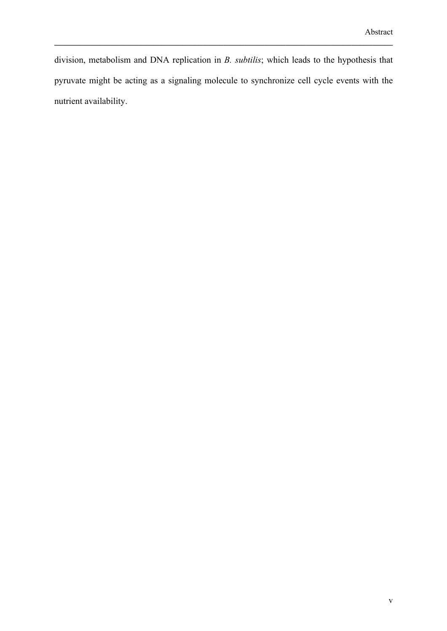division, metabolism and DNA replication in *B. subtilis*; which leads to the hypothesis that pyruvate might be acting as a signaling molecule to synchronize cell cycle events with the nutrient availability.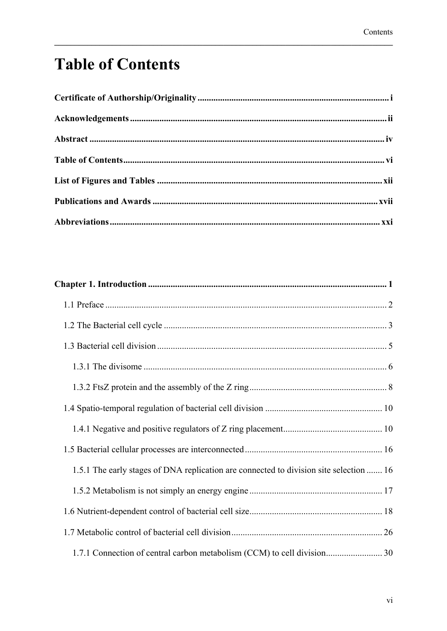## **Table of Contents**

| 1.5.1 The early stages of DNA replication are connected to division site selection  16 |  |
|----------------------------------------------------------------------------------------|--|
|                                                                                        |  |
|                                                                                        |  |
|                                                                                        |  |
| 1.7.1 Connection of central carbon metabolism (CCM) to cell division 30                |  |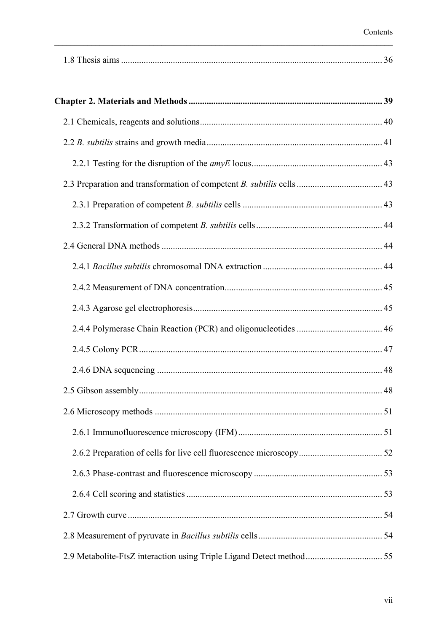|--|

| 2.9 Metabolite-FtsZ interaction using Triple Ligand Detect method 55 |  |
|----------------------------------------------------------------------|--|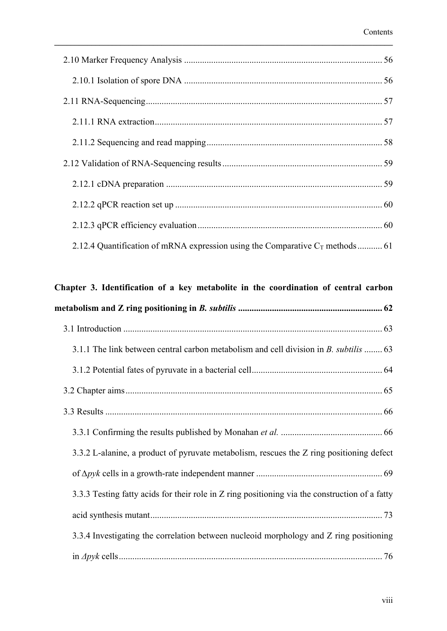| 2.12.4 Quantification of mRNA expression using the Comparative $C_T$ methods  61 |
|----------------------------------------------------------------------------------|

#### Chapter 3. Identification of a key metabolite in the coordination of central carbon

| 3.1.1 The link between central carbon metabolism and cell division in <i>B. subtilis </i> 63   |
|------------------------------------------------------------------------------------------------|
|                                                                                                |
|                                                                                                |
|                                                                                                |
|                                                                                                |
| 3.3.2 L-alanine, a product of pyruvate metabolism, rescues the Z ring positioning defect       |
|                                                                                                |
| 3.3.3 Testing fatty acids for their role in Z ring positioning via the construction of a fatty |
|                                                                                                |
| 3.3.4 Investigating the correlation between nucleoid morphology and Z ring positioning         |
|                                                                                                |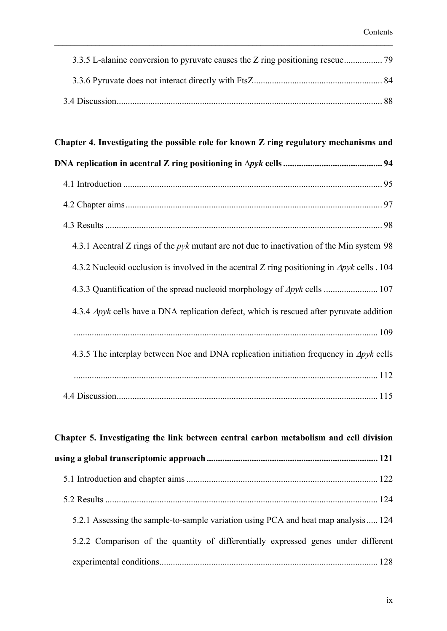## Chapter 4. Investigating the possible role for known Z ring regulatory mechanisms and **#?3=971/A7<;7;/13;A?/9-?7;5=<@7A7<;7;57;1399@**  %IOMJ?P>ODJI C<KO@M<DHN .@NPGON 4.3.1 Acentral Z rings of the *pyk* mutant are not due to inactivation of the Min system 98 4.3.2 Nucleoid occlusion is involved in the acentral Z ring positioning in  $\Delta pyk$  cells . 104 -P<IODAD><ODJIJAOC@NKM@<?IP>G@JD?HJMKCJGJBTJAΔ*8A3*>@GGN A.3.4 Δpyk cells have a DNA replication defect, which is rescued after pyruvate addition 4.3.5 The interplay between Noc and DNA replication initiation frequency in Δpyk cells DN>PNNDJI

| Chapter 5. Investigating the link between central carbon metabolism and cell division |  |
|---------------------------------------------------------------------------------------|--|
|                                                                                       |  |
|                                                                                       |  |
|                                                                                       |  |
| 5.2.1 Assessing the sample-to-sample variation using PCA and heat map analysis 124    |  |
| 5.2.2 Comparison of the quantity of differentially expressed genes under different    |  |
|                                                                                       |  |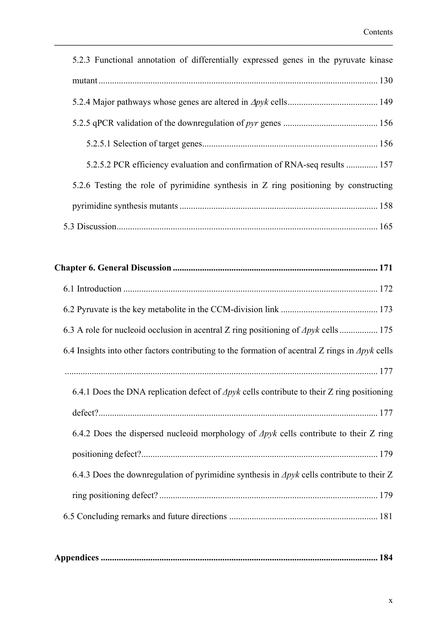| 5.2.3 Functional annotation of differentially expressed genes in the pyruvate kinase                     |
|----------------------------------------------------------------------------------------------------------|
|                                                                                                          |
|                                                                                                          |
|                                                                                                          |
|                                                                                                          |
| 5.2.5.2 PCR efficiency evaluation and confirmation of RNA-seq results  157                               |
| 5.2.6 Testing the role of pyrimidine synthesis in Z ring positioning by constructing                     |
|                                                                                                          |
|                                                                                                          |
|                                                                                                          |
|                                                                                                          |
|                                                                                                          |
|                                                                                                          |
| 6.3 A role for nucleoid occlusion in acentral Z ring positioning of $\Delta pyk$ cells  175              |
| 6.4 Insights into other factors contributing to the formation of acentral Z rings in $\Delta p$ yk cells |
|                                                                                                          |
| 6.4.1 Does the DNA replication defect of $\Delta pyk$ cells contribute to their Z ring positioning       |
|                                                                                                          |
| 6.4.2 Does the dispersed nucleoid morphology of $\Delta p$ yk cells contribute to their Z ring           |
|                                                                                                          |
| 6.4.3 Does the downregulation of pyrimidine synthesis in $\Delta p$ yk cells contribute to their Z       |
|                                                                                                          |
|                                                                                                          |
|                                                                                                          |

|--|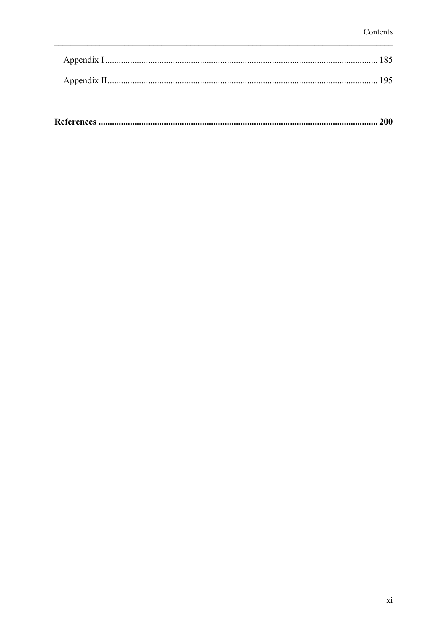|--|--|--|--|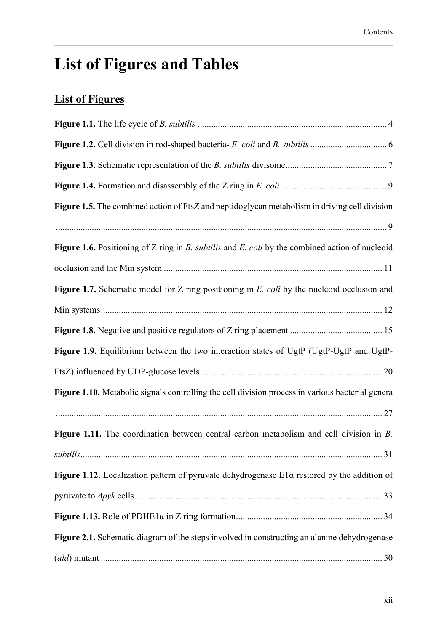## **List of Figures and Tables**

### **List of Figures**

| Figure 1.5. The combined action of FtsZ and peptidoglycan metabolism in driving cell division      |
|----------------------------------------------------------------------------------------------------|
|                                                                                                    |
| Figure 1.6. Positioning of Z ring in B. subtilis and E. coli by the combined action of nucleoid    |
|                                                                                                    |
| Figure 1.7. Schematic model for Z ring positioning in E. coli by the nucleoid occlusion and        |
|                                                                                                    |
|                                                                                                    |
| Figure 1.9. Equilibrium between the two interaction states of UgtP (UgtP-UgtP and UgtP-            |
|                                                                                                    |
| Figure 1.10. Metabolic signals controlling the cell division process in various bacterial genera   |
|                                                                                                    |
| Figure 1.11. The coordination between central carbon metabolism and cell division in $B$ .         |
|                                                                                                    |
| Figure 1.12. Localization pattern of pyruvate dehydrogenase $E1\alpha$ restored by the addition of |
|                                                                                                    |
|                                                                                                    |
| Figure 2.1. Schematic diagram of the steps involved in constructing an alanine dehydrogenase       |
|                                                                                                    |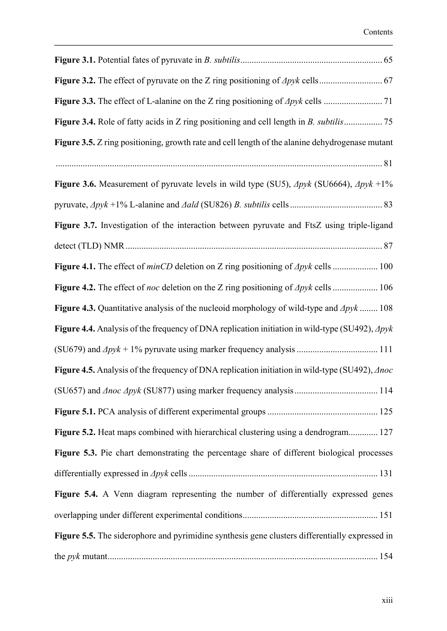| Figure 3.5. Z ring positioning, growth rate and cell length of the alanine dehydrogenase mutant               |
|---------------------------------------------------------------------------------------------------------------|
|                                                                                                               |
| Figure 3.6. Measurement of pyruvate levels in wild type (SU5), $\Delta pyk$ (SU6664), $\Delta pyk + 1\%$      |
|                                                                                                               |
| Figure 3.7. Investigation of the interaction between pyruvate and FtsZ using triple-ligand                    |
|                                                                                                               |
| Figure 4.1. The effect of $minCD$ deletion on Z ring positioning of $\Delta pyk$ cells  100                   |
| Figure 4.2. The effect of <i>noc</i> deletion on the Z ring positioning of $\Delta pyk$ cells  106            |
| Figure 4.3. Quantitative analysis of the nucleoid morphology of wild-type and $\Delta pyk$ 108                |
| Figure 4.4. Analysis of the frequency of DNA replication initiation in wild-type (SU492), $\Delta pyk$        |
|                                                                                                               |
| <b>Figure 4.5.</b> Analysis of the frequency of DNA replication initiation in wild-type (SU492), $\Delta$ noc |
|                                                                                                               |
|                                                                                                               |
| Figure 5.2. Heat maps combined with hierarchical clustering using a dendrogram 127                            |
| Figure 5.3. Pie chart demonstrating the percentage share of different biological processes                    |
|                                                                                                               |
| Figure 5.4. A Venn diagram representing the number of differentially expressed genes                          |
|                                                                                                               |
| Figure 5.5. The siderophore and pyrimidine synthesis gene clusters differentially expressed in                |
|                                                                                                               |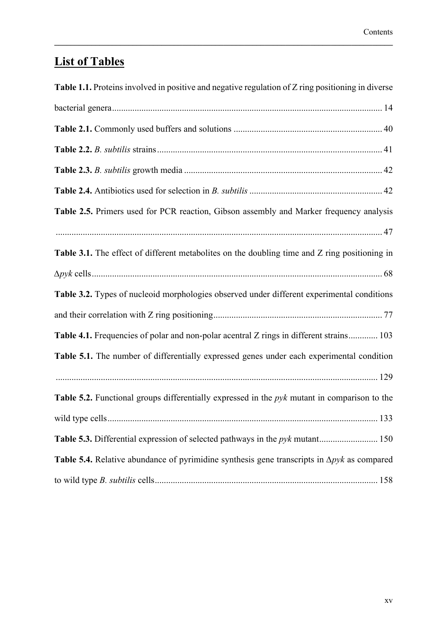### **List of Tables**

| Table 1.1. Proteins involved in positive and negative regulation of Z ring positioning in diverse   |
|-----------------------------------------------------------------------------------------------------|
|                                                                                                     |
|                                                                                                     |
|                                                                                                     |
|                                                                                                     |
|                                                                                                     |
| Table 2.5. Primers used for PCR reaction, Gibson assembly and Marker frequency analysis             |
|                                                                                                     |
| Table 3.1. The effect of different metabolites on the doubling time and Z ring positioning in       |
|                                                                                                     |
| Table 3.2. Types of nucleoid morphologies observed under different experimental conditions          |
|                                                                                                     |
| Table 4.1. Frequencies of polar and non-polar acentral Z rings in different strains 103             |
| Table 5.1. The number of differentially expressed genes under each experimental condition           |
|                                                                                                     |
| Table 5.2. Functional groups differentially expressed in the $pyk$ mutant in comparison to the      |
|                                                                                                     |
|                                                                                                     |
| Table 5.4. Relative abundance of pyrimidine synthesis gene transcripts in $\Delta p$ yk as compared |
|                                                                                                     |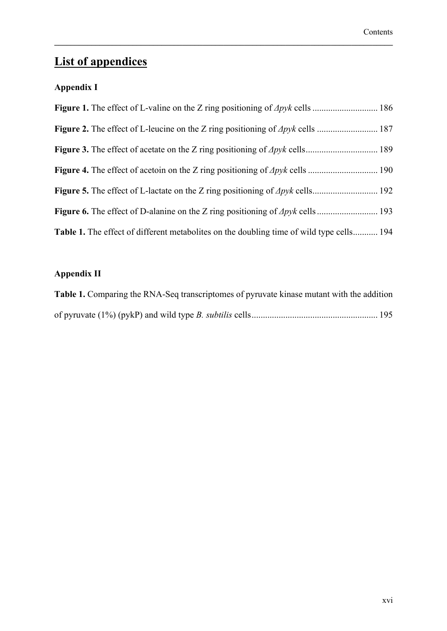### **List of appendices**

#### **Appendix I**

| <b>Table 1.</b> The effect of different metabolites on the doubling time of wild type cells 194 |
|-------------------------------------------------------------------------------------------------|

**..................................................................................**

#### **Appendix II**

| <b>Table 1.</b> Comparing the RNA-Seq transcriptomes of pyruvate kinase mutant with the addition |
|--------------------------------------------------------------------------------------------------|
|                                                                                                  |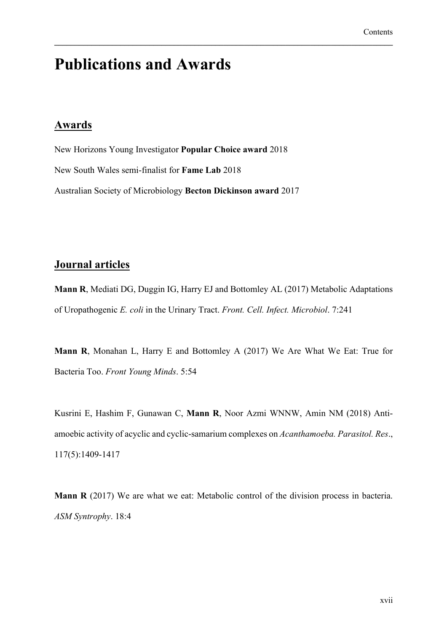## **Publications and Awards**

#### **Awards**

New Horizons Young Investigator Popular Choice award 2018 New South Wales semi-finalist for Fame Lab 2018 Australian Society of Microbiology Becton Dickinson award 2017

#### **Journal articles**

Mann R, Mediati DG, Duggin IG, Harry EJ and Bottomley AL (2017) Metabolic Adaptations of Uropathogenic E. coli in the Urinary Tract. Front. Cell. Infect. Microbiol. 7:241

Mann R, Monahan L, Harry E and Bottomley A (2017) We Are What We Eat: True for Bacteria Too. Front Young Minds. 5:54

Kusrini E, Hashim F, Gunawan C, Mann R, Noor Azmi WNNW, Amin NM (2018) Antiamoebic activity of acyclic and cyclic-samarium complexes on Acanthamoeba. Parasitol. Res., 117(5):1409-1417

**Mann R** (2017) We are what we eat: Metabolic control of the division process in bacteria. ASM Syntrophy. 18:4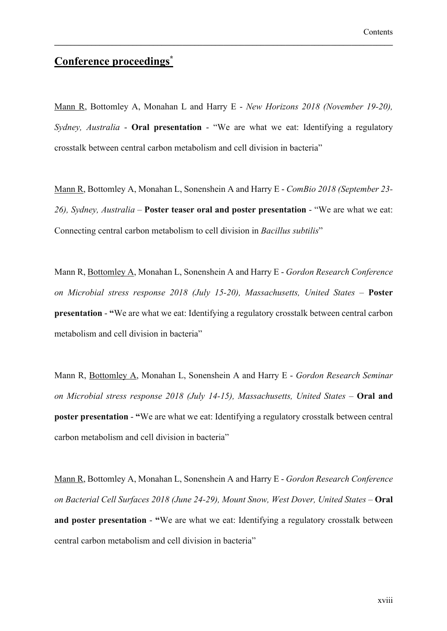#### Conference proceedings\*

Mann R, Bottomley A, Monahan L and Harry E - New Horizons 2018 (November 19-20), Sydney, Australia - Oral presentation - "We are what we eat: Identifying a regulatory crosstalk between central carbon metabolism and cell division in bacteria"

Mann R, Bottomley A, Monahan L, Sonenshein A and Harry E - ComBio 2018 (September 23-26), Sydney, Australia – Poster teaser oral and poster presentation - "We are what we eat: Connecting central carbon metabolism to cell division in Bacillus subtilis"

Mann R, Bottomley A, Monahan L, Sonenshein A and Harry E - Gordon Research Conference on Microbial stress response 2018 (July 15-20), Massachusetts, United States - Poster **presentation - "We are what we eat: Identifying a regulatory crosstalk between central carbon** metabolism and cell division in bacteria"

Mann R, Bottomley A, Monahan L, Sonenshein A and Harry E - Gordon Research Seminar on Microbial stress response  $2018$  (July 14-15), Massachusetts, United States - Oral and **poster presentation - "We are what we eat: Identifying a regulatory crosstalk between central** carbon metabolism and cell division in bacteria"

Mann R, Bottomley A, Monahan L, Sonenshein A and Harry E - Gordon Research Conference on Bacterial Cell Surfaces 2018 (June 24-29), Mount Snow, West Dover, United States - Oral and poster presentation - "We are what we eat: Identifying a regulatory crosstalk between central carbon metabolism and cell division in bacteria"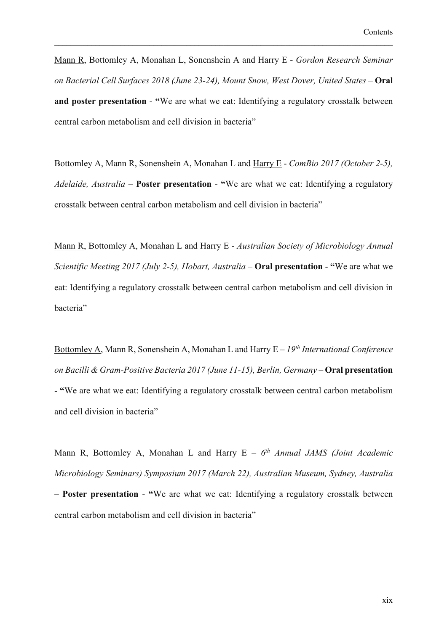Mann R, Bottomley A, Monahan L, Sonenshein A and Harry E - Gordon Research Seminar on Bacterial Cell Surfaces 2018 (June 23-24), Mount Snow, West Dover, United States - Oral and poster presentation - "We are what we eat: Identifying a regulatory crosstalk between central carbon metabolism and cell division in bacteria"

Bottomley A, Mann R, Sonenshein A, Monahan L and Harry E - ComBio 2017 (October 2-5), Adelaide, Australia - Poster presentation - "We are what we eat: Identifying a regulatory crosstalk between central carbon metabolism and cell division in bacteria"

Mann R, Bottomley A, Monahan L and Harry E - Australian Society of Microbiology Annual Scientific Meeting 2017 (July 2-5), Hobart, Australia – Oral presentation - "We are what we eat: Identifying a regulatory crosstalk between central carbon metabolism and cell division in bacteria"

Bottomley A, Mann R, Sonenshein A, Monahan L and Harry  $E - 19<sup>th</sup> International Conference$ on Bacilli & Gram-Positive Bacteria 2017 (June 11-15), Berlin, Germany - Oral presentation - "We are what we eat: Identifying a regulatory crosstalk between central carbon metabolism and cell division in bacteria"

Mann R, Bottomley A, Monahan L and Harry  $E - 6<sup>th</sup>$  Annual JAMS (Joint Academic Microbiology Seminars) Symposium 2017 (March 22), Australian Museum, Sydney, Australia - Poster presentation - "We are what we eat: Identifying a regulatory crosstalk between central carbon metabolism and cell division in bacteria"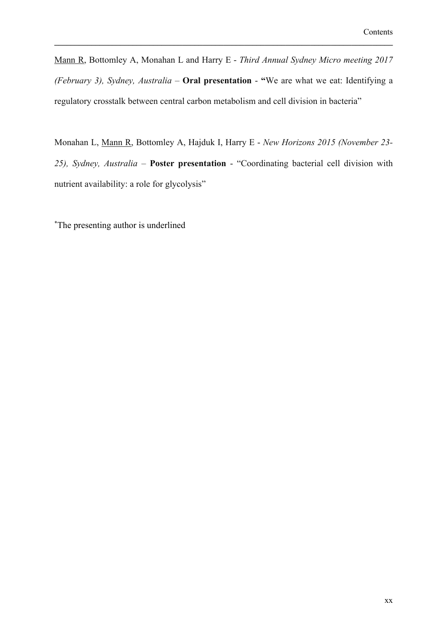Mann R, Bottomley A, Monahan L and Harry E - Third Annual Sydney Micro meeting 2017 (February 3), Sydney, Australia - Oral presentation - "We are what we eat: Identifying a regulatory crosstalk between central carbon metabolism and cell division in bacteria"

Monahan L, Mann R, Bottomley A, Hajduk I, Harry E - New Horizons 2015 (November 23-25), Sydney, Australia - Poster presentation - "Coordinating bacterial cell division with nutrient availability: a role for glycolysis"

\*The presenting author is underlined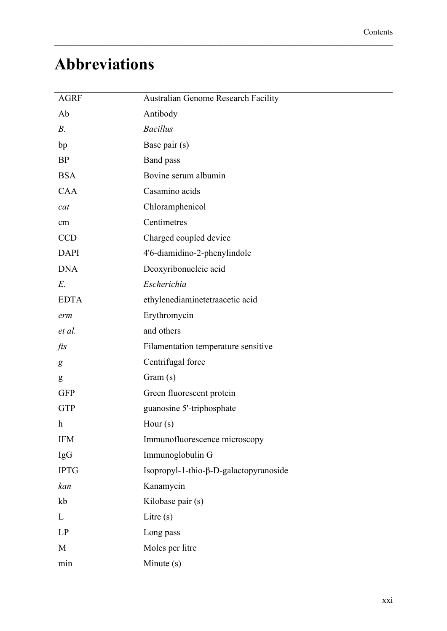## **Abbreviations**

| <b>AGRF</b>               | <b>Australian Genome Research Facility</b> |
|---------------------------|--------------------------------------------|
| Ab                        | Antibody                                   |
| $B$ .                     | <b>Bacillus</b>                            |
| bp                        | Base pair (s)                              |
| <b>BP</b>                 | Band pass                                  |
| <b>BSA</b>                | Bovine serum albumin                       |
| <b>CAA</b>                | Casamino acids                             |
| cat                       | Chloramphenicol                            |
| cm                        | Centimetres                                |
| <b>CCD</b>                | Charged coupled device                     |
| <b>DAPI</b>               | 4'6-diamidino-2-phenylindole               |
| <b>DNA</b>                | Deoxyribonucleic acid                      |
| E.                        | Escherichia                                |
| <b>EDTA</b>               | ethylenediaminetetraacetic acid            |
| erm                       | Erythromycin                               |
| et al.                    | and others                                 |
| $\int f \, ds$            | Filamentation temperature sensitive        |
| g                         | Centrifugal force                          |
| g                         | Gram(s)                                    |
| <b>GFP</b>                | Green fluorescent protein                  |
| <b>GTP</b>                | guanosine 5'-triphosphate                  |
| $\boldsymbol{\mathrm{h}}$ | Hour $(s)$                                 |
| <b>IFM</b>                | Immunofluorescence microscopy              |
| <b>IgG</b>                | Immunoglobulin G                           |
| <b>IPTG</b>               | Isopropyl-1-thio-β-D-galactopyranoside     |
| kan                       | Kanamycin                                  |
| kb                        | Kilobase pair (s)                          |
| L                         | Litre $(s)$                                |
| LP                        | Long pass                                  |
| M                         | Moles per litre                            |
| min                       | Minute (s)                                 |
|                           |                                            |